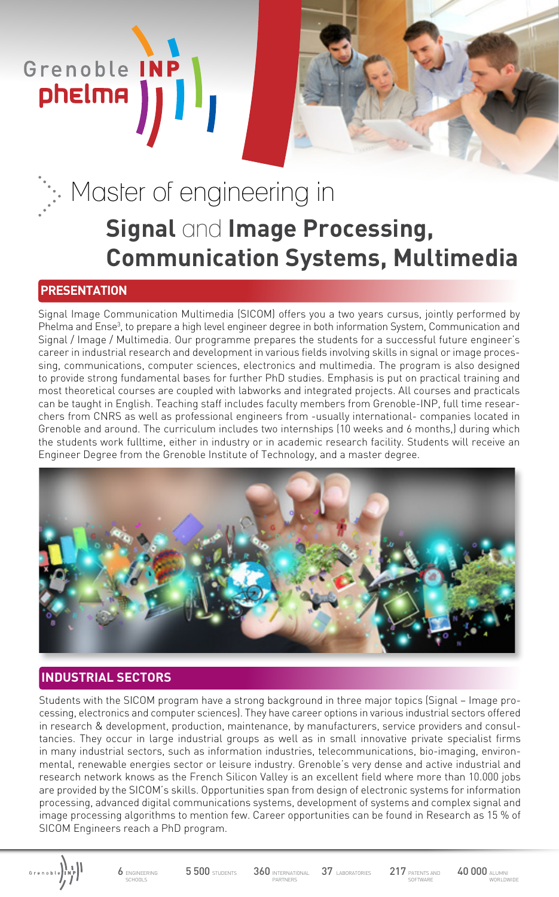# Master of engineering in **Signal** and **Image Processing, Communication Systems, Multimedia**

### **PRESENTATION**

Grenoble INF

phelma

Signal Image Communication Multimedia (SICOM) offers you a two years cursus, jointly performed by Phelma and Ense<sup>3</sup>, to prepare a high level engineer degree in both information System, Communication and Signal / Image / Multimedia. Our programme prepares the students for a successful future engineer's career in industrial research and development in various fields involving skills in signal or image processing, communications, computer sciences, electronics and multimedia. The program is also designed to provide strong fundamental bases for further PhD studies. Emphasis is put on practical training and most theoretical courses are coupled with labworks and integrated projects. All courses and practicals can be taught in English. Teaching staff includes faculty members from Grenoble-INP, full time researchers from CNRS as well as professional engineers from -usually international- companies located in Grenoble and around. The curriculum includes two internships (10 weeks and 6 months,) during which the students work fulltime, either in industry or in academic research facility. Students will receive an Engineer Degree from the Grenoble Institute of Technology, and a master degree.



## **INDUSTRIAL SECTORS**

Students with the SICOM program have a strong background in three major topics (Signal – Image processing, electronics and computer sciences). They have career options in various industrial sectors offered in research & development, production, maintenance, by manufacturers, service providers and consultancies. They occur in large industrial groups as well as in small innovative private specialist firms in many industrial sectors, such as information industries, telecommunications, bio-imaging, environmental, renewable energies sector or leisure industry. Grenoble's very dense and active industrial and research network knows as the French Silicon Valley is an excellent field where more than 10.000 jobs are provided by the SICOM's skills. Opportunities span from design of electronic systems for information processing, advanced digital communications systems, development of systems and complex signal and image processing algorithms to mention few. Career opportunities can be found in Research as 15 % of SICOM Engineers reach a PhD program.



**5 500 STUDENTS** 360 INTERNATIONAL

**ARTNERS**